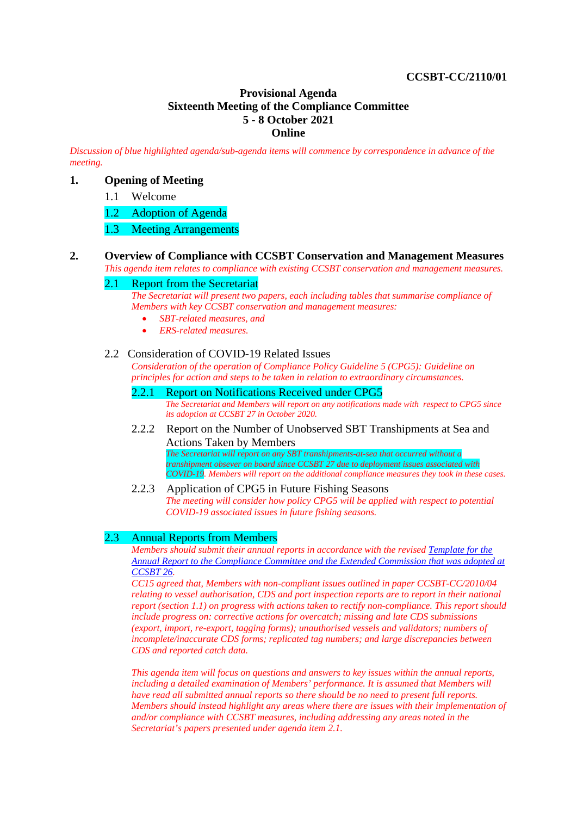# **CCSBT-CC/2110/01**

## **Provisional Agenda Sixteenth Meeting of the Compliance Committee 5 - 8 October 2021 Online**

*Discussion of blue highlighted agenda/sub-agenda items will commence by correspondence in advance of the meeting.*

# **1. Opening of Meeting**

1.1 Welcome

1.2 Adoption of Agenda

1.3 Meeting Arrangements

**2. Overview of Compliance with CCSBT Conservation and Management Measures**

*This agenda item relates to compliance with existing CCSBT conservation and management measures.* 

# 2.1 Report from the Secretariat

*The Secretariat will present two papers, each including tables that summarise compliance of Members with key CCSBT conservation and management measures:*

- *SBT-related measures, and*
- *ERS-related measures.*

#### 2.2 Consideration of COVID-19 Related Issues

*Consideration of the operation of Compliance Policy Guideline 5 (CPG5): Guideline on principles for action and steps to be taken in relation to extraordinary circumstances.*

- 2.2.1 Report on Notifications Received under CPG5 *The Secretariat and Members will report on any notifications made with respect to CPG5 since its adoption at CCSBT 27 in October 2020.*
- 2.2.2 Report on the Number of Unobserved SBT Transhipments at Sea and Actions Taken by Members

*The Secretariat will report on any SBT transhipments-at-sea that occurred without a transhipment obsever on board since CCSBT 27 due to deployment issues associated with COVID-19. Members will report on the additional compliance measures they took in these cases.*

2.2.3 Application of CPG5 in Future Fishing Seasons *The meeting will consider how policy CPG5 will be applied with respect to potential COVID-19 associated issues in future fishing seasons.*

#### 2.3 Annual Reports from Members

*Members should submit their annual reports in accordance with the revised [Template for the](http://www.ccsbt.org/userfiles/file/templates/Annual_CC-EC_Reporting_Template.docx)  [Annual Report to the Compliance Committee and the Extended Commission](http://www.ccsbt.org/userfiles/file/templates/Annual_CC-EC_Reporting_Template.docx) that was adopted at CCSBT 26.*

*CC15 agreed that, Members with non-compliant issues outlined in paper CCSBT-CC/2010/04 relating to vessel authorisation, CDS and port inspection reports are to report in their national report (section 1.1) on progress with actions taken to rectify non-compliance. This report should include progress on: corrective actions for overcatch; missing and late CDS submissions (export, import, re-export, tagging forms); unauthorised vessels and validators; numbers of incomplete/inaccurate CDS forms; replicated tag numbers; and large discrepancies between CDS and reported catch data.* 

*This agenda item will focus on questions and answers to key issues within the annual reports, including a detailed examination of Members' performance. It is assumed that Members will have read all submitted annual reports so there should be no need to present full reports. Members should instead highlight any areas where there are issues with their implementation of and/or compliance with CCSBT measures, including addressing any areas noted in the Secretariat's papers presented under agenda item 2.1.*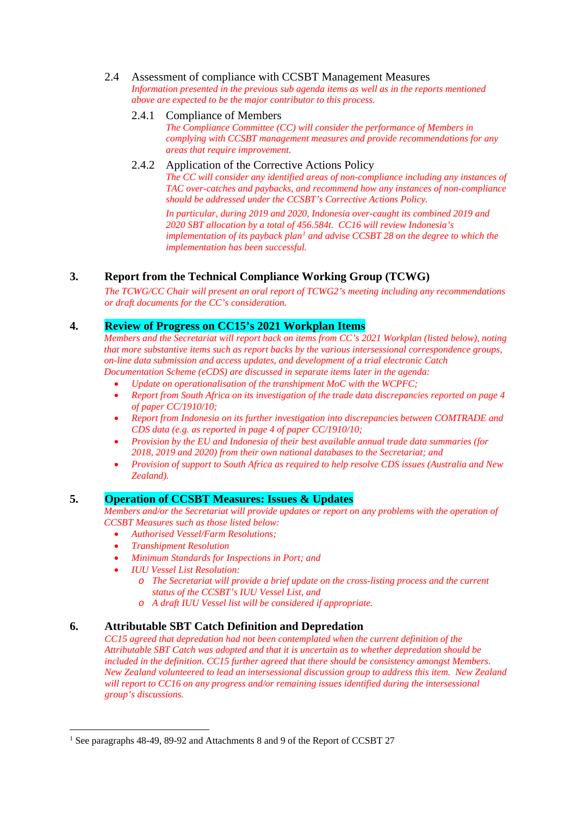#### 2.4 Assessment of compliance with CCSBT Management Measures *Information presented in the previous sub agenda items as well as in the reports mentioned*

*above are expected to be the major contributor to this process.*

# 2.4.1 Compliance of Members

*The Compliance Committee (CC) will consider the performance of Members in complying with CCSBT management measures and provide recommendations for any areas that require improvement.*

# 2.4.2 Application of the Corrective Actions Policy

*The CC will consider any identified areas of non-compliance including any instances of TAC over-catches and paybacks, and recommend how any instances of non-compliance should be addressed under the [CCSBT's Corrective Actions Policy.](http://www.ccsbt.org/userfiles/file/docs_english/operational_resolutions/CPG3_CorrectiveActions.pdf)*

*In particular, during 2019 and 2020, Indonesia over-caught its combined 2019 and 2020 SBT allocation by a total of 456.584t. CC16 will review Indonesia's implementation of its payback plan[1](#page-1-0) and advise CCSBT 28 on the degree to which the implementation has been successful.*

# **3. Report from the Technical Compliance Working Group (TCWG)**

*The TCWG/CC Chair will present an oral report of TCWG2's meeting including any recommendations or draft documents for the CC's consideration.*

# **4. Review of Progress on CC15's 2021 Workplan Items**

*Members and the Secretariat will report back on items from CC's 2021 Workplan (listed below), noting that more substantive items such as report backs by the various intersessional correspondence groups, on-line data submission and access updates, and development of a trial electronic Catch Documentation Scheme (eCDS) are discussed in separate items later in the agenda:*

- *Update on operationalisation of the transhipment MoC with the WCPFC;*
- *Report from South Africa on its investigation of the trade data discrepancies reported on page 4 of paper CC/1910/10;*
- *Report from Indonesia on its further investigation into discrepancies between COMTRADE and CDS data (e.g. as reported in page 4 of paper CC/1910/10;*
- *Provision by the EU and Indonesia of their best available annual trade data summaries (for 2018, 2019 and 2020) from their own national databases to the Secretariat; and*
- *Provision of support to South Africa as required to help resolve CDS issues (Australia and New Zealand).*

# **5. Operation of CCSBT Measures: Issues & Updates**

*Members and/or the Secretariat will provide updates or report on any problems with the operation of CCSBT Measures such as those listed below:*

- *Authorised Vessel/Farm Resolutions;*
- *Transhipment Resolution*
- *Minimum Standards for Inspections in Port; and*
- *IUU Vessel List Resolution:*
	- *o The Secretariat will provide a brief update on the cross-listing process and the current status of the CCSBT's IUU Vessel List, and*
	- *o A draft IUU Vessel list will be considered if appropriate.*

# **6. Attributable SBT Catch Definition and Depredation**

*CC15 agreed that depredation had not been contemplated when the current definition of the Attributable SBT Catch was adopted and that it is uncertain as to whether depredation should be included in the definition. CC15 further agreed that there should be consistency amongst Members. New Zealand volunteered to lead an intersessional discussion group to address this item. New Zealand will report to CC16 on any progress and/or remaining issues identified during the intersessional group's discussions.*

<span id="page-1-0"></span><sup>&</sup>lt;sup>1</sup> See paragraphs 48-49, 89-92 and Attachments 8 and 9 of the Report of CCSBT 27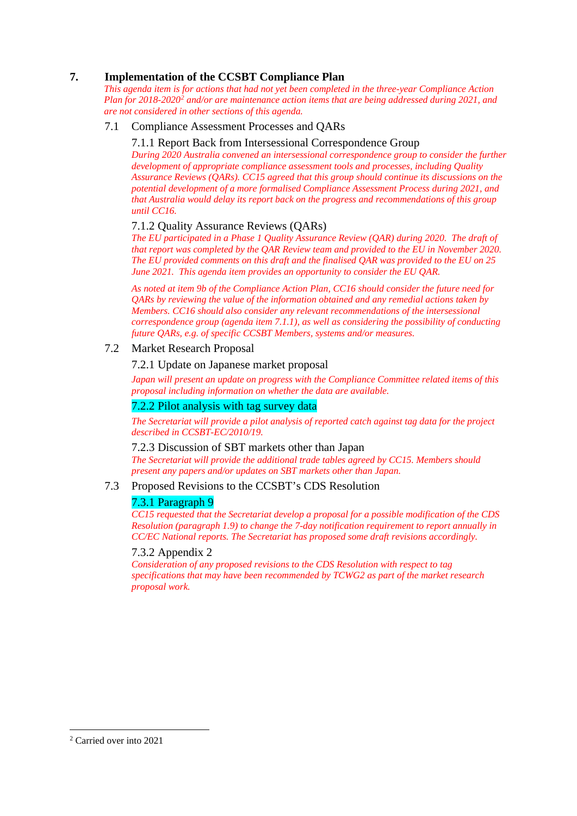# **7. Implementation of the CCSBT Compliance Plan**

*This agenda item is for actions that had not yet been completed in the three-year Compliance Action Plan for 2018-2020[2](#page-2-0) and/or are maintenance action items that are being addressed during 2021, and are not considered in other sections of this agenda.*

# 7.1 Compliance Assessment Processes and QARs

#### 7.1.1 Report Back from Intersessional Correspondence Group

*During 2020 Australia convened an intersessional correspondence group to consider the further development of appropriate compliance assessment tools and processes, including Quality Assurance Reviews (QARs). CC15 agreed that this group should continue its discussions on the potential development of a more formalised Compliance Assessment Process during 2021, and that Australia would delay its report back on the progress and recommendations of this group until CC16.*

#### 7.1.2 Quality Assurance Reviews (QARs)

*The EU participated in a Phase 1 Quality Assurance Review (QAR) during 2020. The draft of that report was completed by the QAR Review team and provided to the EU in November 2020. The EU provided comments on this draft and the finalised QAR was provided to the EU on 25 June 2021. This agenda item provides an opportunity to consider the EU QAR.*

*As noted at item 9b of the Compliance Action Plan, CC16 should consider the future need for QARs by reviewing the value of the information obtained and any remedial actions taken by Members. CC16 should also consider any relevant recommendations of the intersessional correspondence group (agenda item 7.1.1), as well as considering the possibility of conducting future QARs, e.g. of specific CCSBT Members, systems and/or measures.*

# 7.2 Market Research Proposal

#### 7.2.1 Update on Japanese market proposal

*Japan will present an update on progress with the Compliance Committee related items of this proposal including information on whether the data are available.*

#### 7.2.2 Pilot analysis with tag survey data

*The Secretariat will provide a pilot analysis of reported catch against tag data for the project described in CCSBT-EC/2010/19.*

#### 7.2.3 Discussion of SBT markets other than Japan

*The Secretariat will provide the additional trade tables agreed by CC15. Members should present any papers and/or updates on SBT markets other than Japan.*

#### 7.3 Proposed Revisions to the CCSBT's CDS Resolution

# 7.3.1 Paragraph 9

*CC15 requested that the Secretariat develop a proposal for a possible modification of the CDS Resolution (paragraph 1.9) to change the 7-day notification requirement to report annually in CC/EC National reports. The Secretariat has proposed some draft revisions accordingly.*

#### 7.3.2 Appendix 2

*Consideration of any proposed revisions to the CDS Resolution with respect to tag specifications that may have been recommended by TCWG2 as part of the market research proposal work.* 

<span id="page-2-0"></span><sup>2</sup> Carried over into 2021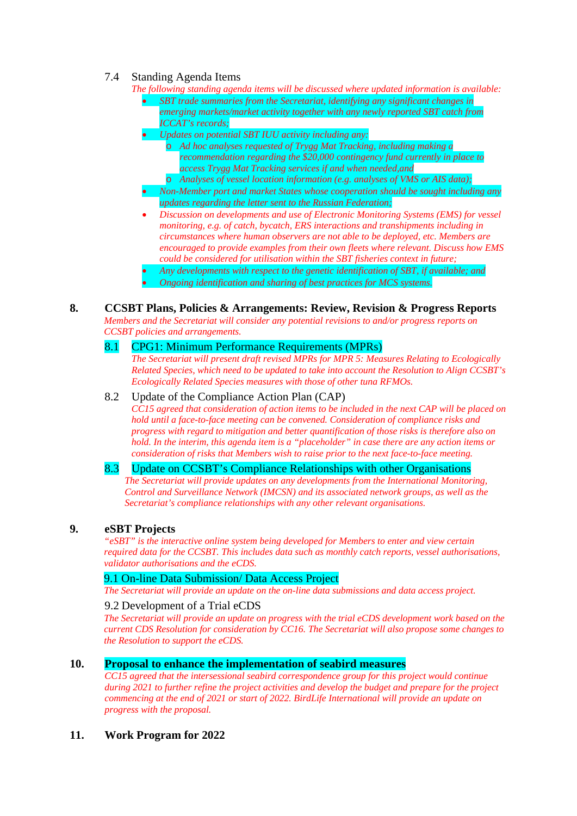# 7.4 Standing Agenda Items

- *The following standing agenda items will be discussed where updated information is available:*
	- *SBT trade summaries from the Secretariat, identifying any significant changes in emerging markets/market activity together with any newly reported SBT catch from ICCAT's records;*
	- *Updates on potential SBT IUU activity including any:*
		- o *Ad hoc analyses requested of Trygg Mat Tracking, including making a recommendation regarding the \$20,000 contingency fund currently in place to access Trygg Mat Tracking services if and when needed,and*
		- o *Analyses of vessel location information (e.g. analyses of VMS or AIS data);*
	- *Non-Member port and market States whose cooperation should be sought including any updates regarding the letter sent to the Russian Federation;*
	- *Discussion on developments and use of Electronic Monitoring Systems (EMS) for vessel monitoring, e.g. of catch, bycatch, ERS interactions and transhipments including in circumstances where human observers are not able to be deployed, etc. Members are encouraged to provide examples from their own fleets where relevant. Discuss how EMS could be considered for utilisation within the SBT fisheries context in future;*
	- *Any developments with respect to the genetic identification of SBT, if available; and*
	- *Ongoing identification and sharing of best practices for MCS systems.*

#### **8. CCSBT Plans, Policies & Arrangements: Review, Revision & Progress Reports**

*Members and the Secretariat will consider any potential revisions to and/or progress reports on CCSBT policies and arrangements.*

# 8.1 CPG1: Minimum Performance Requirements (MPRs)

*The Secretariat will present draft revised MPRs for MPR 5: Measures Relating to Ecologically Related Species, which need to be updated to take into account the Resolution to Align CCSBT's Ecologically Related Species measures with those of other tuna RFMOs.*

#### 8.2 Update of the Compliance Action Plan (CAP)

*CC15 agreed that consideration of action items to be included in the next CAP will be placed on hold until a face-to-face meeting can be convened. Consideration of compliance risks and progress with regard to mitigation and better quantification of those risks is therefore also on hold. In the interim, this agenda item is a "placeholder" in case there are any action items or consideration of risks that Members wish to raise prior to the next face-to-face meeting.*

#### 8.3 Update on CCSBT's Compliance Relationships with other Organisations

*The Secretariat will provide updates on any developments from the International Monitoring, Control and Surveillance Network (IMCSN) and its associated network groups, as well as the Secretariat's compliance relationships with any other relevant organisations.*

#### **9. eSBT Projects**

*"eSBT" is the interactive online system being developed for Members to enter and view certain required data for the CCSBT. This includes data such as monthly catch reports, vessel authorisations, validator authorisations and the eCDS.*

# 9.1 On-line Data Submission/ Data Access Project

*The Secretariat will provide an update on the on-line data submissions and data access project.*

#### 9.2 Development of a Trial eCDS

*The Secretariat will provide an update on progress with the trial eCDS development work based on the current CDS Resolution for consideration by CC16. The Secretariat will also propose some changes to the Resolution to support the eCDS.*

#### **10. Proposal to enhance the implementation of seabird measures**

*CC15 agreed that the intersessional seabird correspondence group for this project would continue during 2021 to further refine the project activities and develop the budget and prepare for the project commencing at the end of 2021 or start of 2022. BirdLife International will provide an update on progress with the proposal.*

**11. Work Program for 2022**